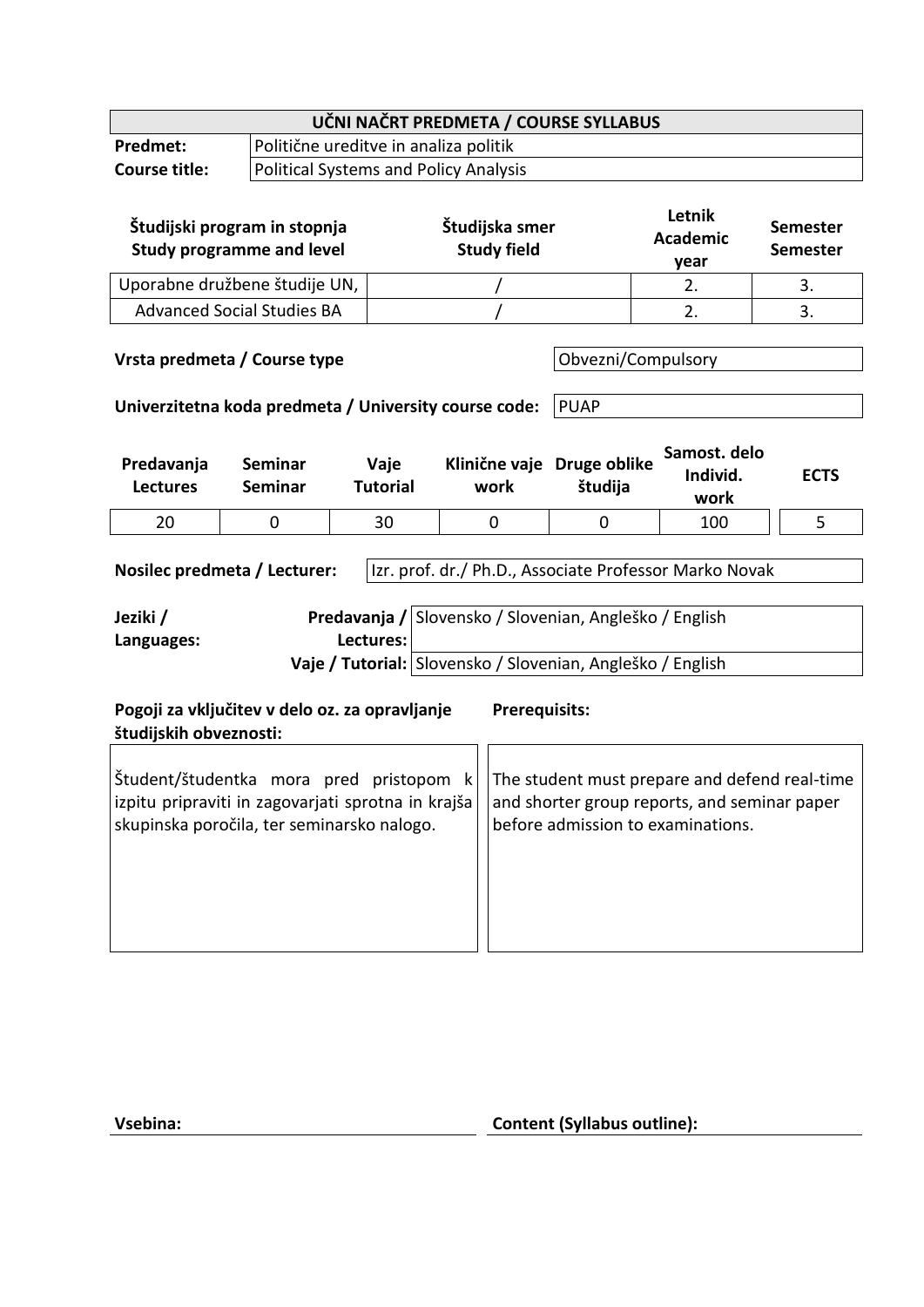| UČNI NAČRT PREDMETA / COURSE SYLLABUS                                                                                                                                                                                                                                                 |                                              |                                       |                                      |         |                                   |                                    |
|---------------------------------------------------------------------------------------------------------------------------------------------------------------------------------------------------------------------------------------------------------------------------------------|----------------------------------------------|---------------------------------------|--------------------------------------|---------|-----------------------------------|------------------------------------|
| <b>Predmet:</b>                                                                                                                                                                                                                                                                       |                                              | Politične ureditve in analiza politik |                                      |         |                                   |                                    |
| <b>Course title:</b>                                                                                                                                                                                                                                                                  | <b>Political Systems and Policy Analysis</b> |                                       |                                      |         |                                   |                                    |
| Študijski program in stopnja<br><b>Study programme and level</b>                                                                                                                                                                                                                      |                                              |                                       | Študijska smer<br><b>Study field</b> |         | Letnik<br><b>Academic</b><br>year | <b>Semester</b><br><b>Semester</b> |
|                                                                                                                                                                                                                                                                                       | Uporabne družbene študije UN,                |                                       |                                      |         | 2.                                | 3.                                 |
|                                                                                                                                                                                                                                                                                       | <b>Advanced Social Studies BA</b>            |                                       |                                      |         | 2.                                | 3.                                 |
| Vrsta predmeta / Course type<br>Obvezni/Compulsory<br>Univerzitetna koda predmeta / University course code:<br><b>PUAP</b>                                                                                                                                                            |                                              |                                       |                                      |         |                                   |                                    |
| Predavanja<br><b>Lectures</b>                                                                                                                                                                                                                                                         | <b>Seminar</b><br><b>Seminar</b>             | Vaje<br><b>Tutorial</b>               | Klinične vaje Druge oblike<br>work   | študija | Samost. delo<br>Individ.<br>work  | <b>ECTS</b>                        |
| 20                                                                                                                                                                                                                                                                                    | 0                                            | 30                                    | 0                                    | 0       | 100                               | 5                                  |
| Izr. prof. dr./ Ph.D., Associate Professor Marko Novak<br>Nosilec predmeta / Lecturer:<br>Predavanja / Slovensko / Slovenian, Angleško / English<br>Jeziki /<br>Lectures:<br>Languages:<br>Vaje / Tutorial: Slovensko / Slovenian, Angleško / English                                 |                                              |                                       |                                      |         |                                   |                                    |
| Pogoji za vključitev v delo oz. za opravljanje<br><b>Prerequisits:</b><br>študijskih obveznosti:                                                                                                                                                                                      |                                              |                                       |                                      |         |                                   |                                    |
| Študent/študentka mora pred pristopom<br>The student must prepare and defend real-time<br>k.<br>izpitu pripraviti in zagovarjati sprotna in krajša<br>and shorter group reports, and seminar paper<br>skupinska poročila, ter seminarsko nalogo.<br>before admission to examinations. |                                              |                                       |                                      |         |                                   |                                    |

**Vsebina: Content (Syllabus outline):**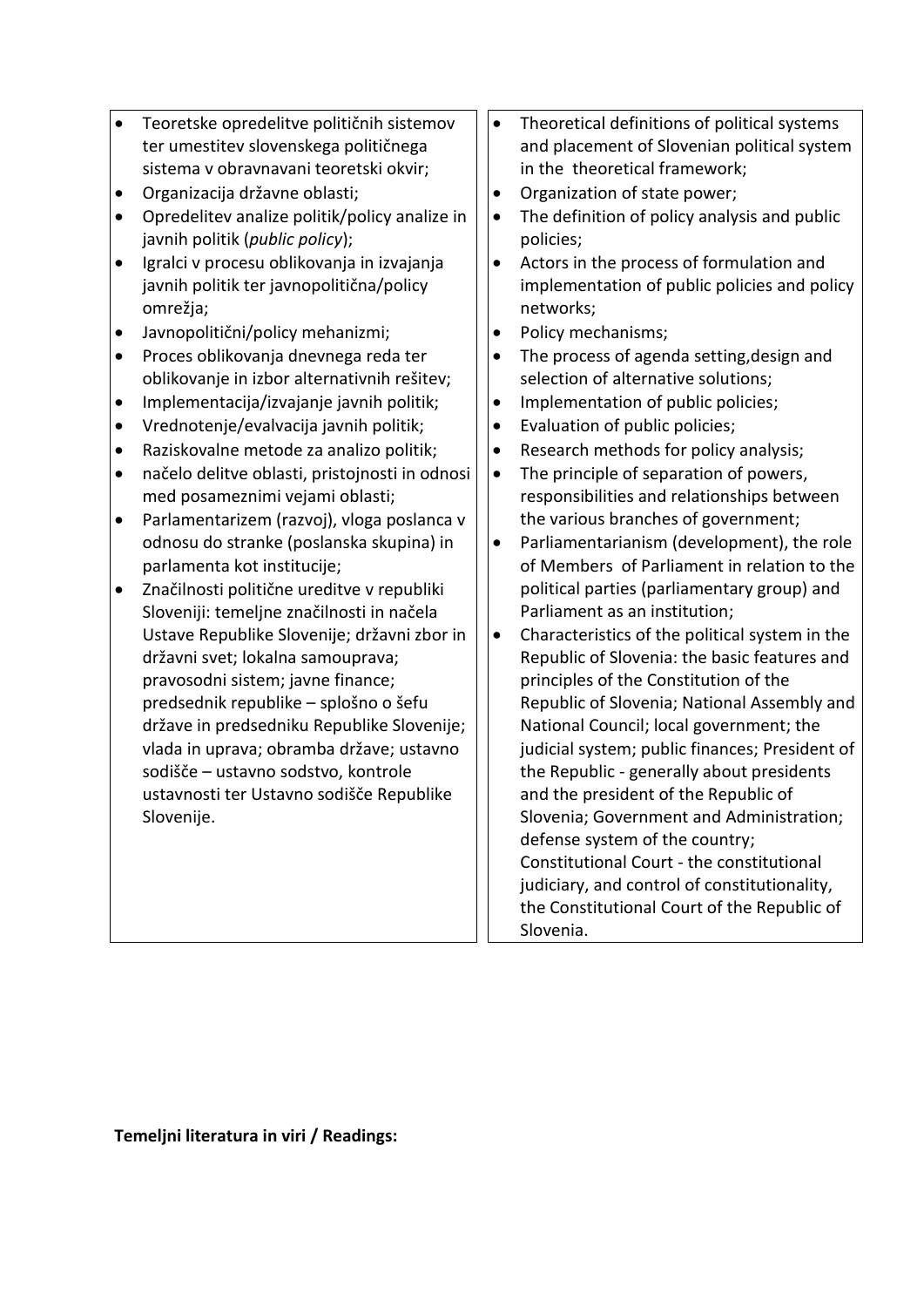| Teoretske opredelitve političnih sistemov<br>$\bullet$<br>ter umestitev slovenskega političnega<br>sistema v obravnavani teoretski okvir;<br>Organizacija državne oblasti;<br>$\bullet$<br>Opredelitev analize politik/policy analize in<br>٠<br>javnih politik (public policy);<br>Igralci v procesu oblikovanja in izvajanja<br>$\bullet$<br>javnih politik ter javnopolitična/policy<br>omrežja;<br>Javnopolitični/policy mehanizmi;<br>$\bullet$<br>Proces oblikovanja dnevnega reda ter<br>$\bullet$<br>oblikovanje in izbor alternativnih rešitev;<br>Implementacija/izvajanje javnih politik;<br>$\bullet$<br>Vrednotenje/evalvacija javnih politik;<br>$\bullet$<br>Raziskovalne metode za analizo politik;<br>$\bullet$<br>načelo delitve oblasti, pristojnosti in odnosi<br>$\bullet$<br>med posameznimi vejami oblasti;<br>Parlamentarizem (razvoj), vloga poslanca v<br>$\bullet$<br>odnosu do stranke (poslanska skupina) in<br>parlamenta kot institucije;<br>Značilnosti politične ureditve v republiki<br>$\bullet$<br>Sloveniji: temeljne značilnosti in načela<br>Ustave Republike Slovenije; državni zbor in<br>državni svet; lokalna samouprava;<br>pravosodni sistem; javne finance;<br>predsednik republike - splošno o šefu<br>države in predsedniku Republike Slovenije;<br>vlada in uprava; obramba države; ustavno<br>sodišče - ustavno sodstvo, kontrole<br>ustavnosti ter Ustavno sodišče Republike<br>Slovenije. | Theoretical definitions of political systems<br>$\bullet$<br>and placement of Slovenian political system<br>in the theoretical framework;<br>Organization of state power;<br>$\bullet$<br>The definition of policy analysis and public<br>$\bullet$<br>policies;<br>Actors in the process of formulation and<br>$\bullet$<br>implementation of public policies and policy<br>networks;<br>Policy mechanisms;<br>$\bullet$<br>The process of agenda setting, design and<br>$\bullet$<br>selection of alternative solutions;<br>Implementation of public policies;<br>Evaluation of public policies;<br>$\bullet$<br>Research methods for policy analysis;<br>$\bullet$<br>The principle of separation of powers,<br>$\bullet$<br>responsibilities and relationships between<br>the various branches of government;<br>Parliamentarianism (development), the role<br>$\bullet$<br>of Members of Parliament in relation to the<br>political parties (parliamentary group) and<br>Parliament as an institution;<br>Characteristics of the political system in the<br>$\bullet$<br>Republic of Slovenia: the basic features and<br>principles of the Constitution of the<br>Republic of Slovenia; National Assembly and<br>National Council; local government; the<br>judicial system; public finances; President of<br>the Republic - generally about presidents<br>and the president of the Republic of<br>Slovenia; Government and Administration;<br>defense system of the country;<br>Constitutional Court - the constitutional<br>judiciary, and control of constitutionality,<br>the Constitutional Court of the Republic of<br>Slovenia. |
|-----------------------------------------------------------------------------------------------------------------------------------------------------------------------------------------------------------------------------------------------------------------------------------------------------------------------------------------------------------------------------------------------------------------------------------------------------------------------------------------------------------------------------------------------------------------------------------------------------------------------------------------------------------------------------------------------------------------------------------------------------------------------------------------------------------------------------------------------------------------------------------------------------------------------------------------------------------------------------------------------------------------------------------------------------------------------------------------------------------------------------------------------------------------------------------------------------------------------------------------------------------------------------------------------------------------------------------------------------------------------------------------------------------------------------------------------|---------------------------------------------------------------------------------------------------------------------------------------------------------------------------------------------------------------------------------------------------------------------------------------------------------------------------------------------------------------------------------------------------------------------------------------------------------------------------------------------------------------------------------------------------------------------------------------------------------------------------------------------------------------------------------------------------------------------------------------------------------------------------------------------------------------------------------------------------------------------------------------------------------------------------------------------------------------------------------------------------------------------------------------------------------------------------------------------------------------------------------------------------------------------------------------------------------------------------------------------------------------------------------------------------------------------------------------------------------------------------------------------------------------------------------------------------------------------------------------------------------------------------------------------------------------------------------------------------------------------------------------------|

**Temeljni literatura in viri / Readings:**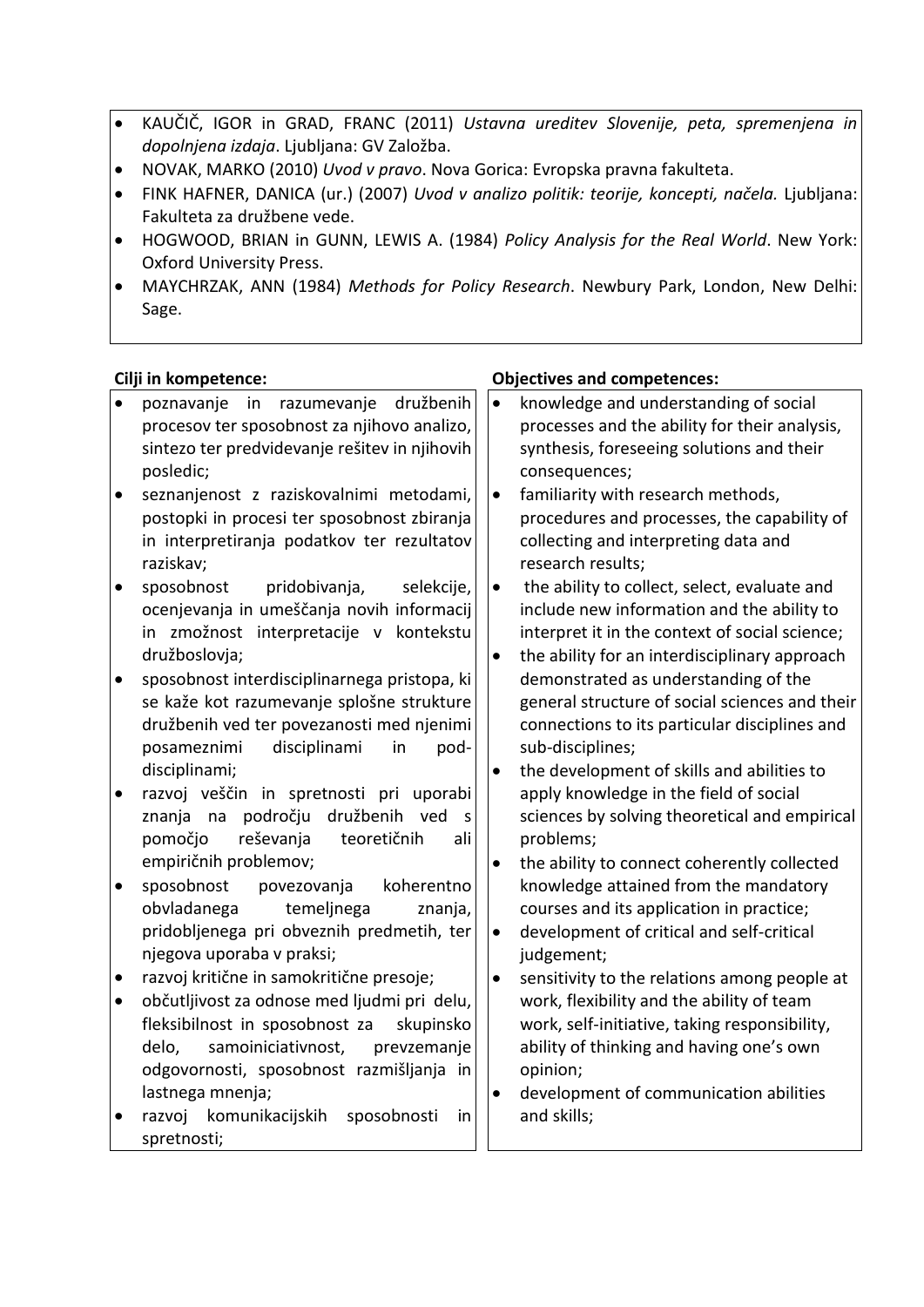- KAUČIČ, IGOR in GRAD, FRANC (2011) *Ustavna ureditev Slovenije, peta, spremenjena in dopolnjena izdaja*. Ljubljana: GV Založba.
- NOVAK, MARKO (2010) *Uvod v pravo*. Nova Gorica: Evropska pravna fakulteta.
- FINK HAFNER, DANICA (ur.) (2007) *Uvod v analizo politik: teorije, koncepti, načela.* Ljubljana: Fakulteta za družbene vede.
- HOGWOOD, BRIAN in GUNN, LEWIS A. (1984) *Policy Analysis for the Real World*. New York: Oxford University Press.
- MAYCHRZAK, ANN (1984) *Methods for Policy Research*. Newbury Park, London, New Delhi: Sage.

|           | Cilji in kompetence:                                                                       |           | <b>Objectives and competences:</b>                                                         |
|-----------|--------------------------------------------------------------------------------------------|-----------|--------------------------------------------------------------------------------------------|
| $\bullet$ | poznavanje<br>razumevanje<br>in<br>družbenih                                               | $\bullet$ | knowledge and understanding of social                                                      |
|           | procesov ter sposobnost za njihovo analizo,                                                |           | processes and the ability for their analysis,                                              |
|           | sintezo ter predvidevanje rešitev in njihovih                                              |           | synthesis, foreseeing solutions and their                                                  |
|           | posledic;                                                                                  |           | consequences;                                                                              |
| $\bullet$ | seznanjenost z raziskovalnimi metodami,                                                    | $\bullet$ | familiarity with research methods,                                                         |
|           | postopki in procesi ter sposobnost zbiranja                                                |           | procedures and processes, the capability of                                                |
|           | in interpretiranja podatkov ter rezultatov                                                 |           | collecting and interpreting data and                                                       |
|           | raziskav;                                                                                  |           | research results;                                                                          |
| $\bullet$ | sposobnost<br>pridobivanja,<br>selekcije,                                                  | $\bullet$ | the ability to collect, select, evaluate and                                               |
|           | ocenjevanja in umeščanja novih informacij                                                  |           | include new information and the ability to                                                 |
|           | in zmožnost interpretacije v kontekstu                                                     |           | interpret it in the context of social science;                                             |
|           | družboslovja;                                                                              | $\bullet$ | the ability for an interdisciplinary approach                                              |
| $\bullet$ | sposobnost interdisciplinarnega pristopa, ki                                               |           | demonstrated as understanding of the                                                       |
|           | se kaže kot razumevanje splošne strukture                                                  |           | general structure of social sciences and their                                             |
|           | družbenih ved ter povezanosti med njenimi                                                  |           | connections to its particular disciplines and                                              |
|           | disciplinami<br>posameznimi<br>in<br>pod-                                                  |           | sub-disciplines;                                                                           |
|           | disciplinami;                                                                              | $\bullet$ | the development of skills and abilities to                                                 |
| $\bullet$ | razvoj veščin in spretnosti pri uporabi                                                    |           | apply knowledge in the field of social                                                     |
|           | področju<br>družbenih<br>znanja<br>na<br>ved<br>S                                          |           | sciences by solving theoretical and empirical                                              |
|           | reševanja<br>pomočjo<br>teoretičnih<br>ali                                                 |           | problems;                                                                                  |
|           | empiričnih problemov;                                                                      | $\bullet$ | the ability to connect coherently collected                                                |
| $\bullet$ | sposobnost<br>povezovanja<br>koherentno                                                    |           | knowledge attained from the mandatory                                                      |
|           | obvladanega<br>temeljnega<br>znanja,                                                       |           | courses and its application in practice;                                                   |
|           | pridobljenega pri obveznih predmetih, ter                                                  | $\bullet$ | development of critical and self-critical                                                  |
|           | njegova uporaba v praksi;<br>razvoj kritične in samokritične presoje;                      |           | judgement;                                                                                 |
| $\bullet$ |                                                                                            | $\bullet$ | sensitivity to the relations among people at                                               |
| $\bullet$ | občutljivost za odnose med ljudmi pri delu,<br>fleksibilnost in sposobnost za<br>skupinsko |           | work, flexibility and the ability of team<br>work, self-initiative, taking responsibility, |
|           | samoiniciativnost,<br>prevzemanje<br>delo,                                                 |           | ability of thinking and having one's own                                                   |
|           | odgovornosti, sposobnost razmišljanja in                                                   |           | opinion;                                                                                   |
|           | lastnega mnenja;                                                                           | $\bullet$ | development of communication abilities                                                     |
| $\bullet$ | komunikacijskih<br>razvoj<br>sposobnosti<br>in                                             |           | and skills;                                                                                |
|           | spretnosti;                                                                                |           |                                                                                            |
|           |                                                                                            |           |                                                                                            |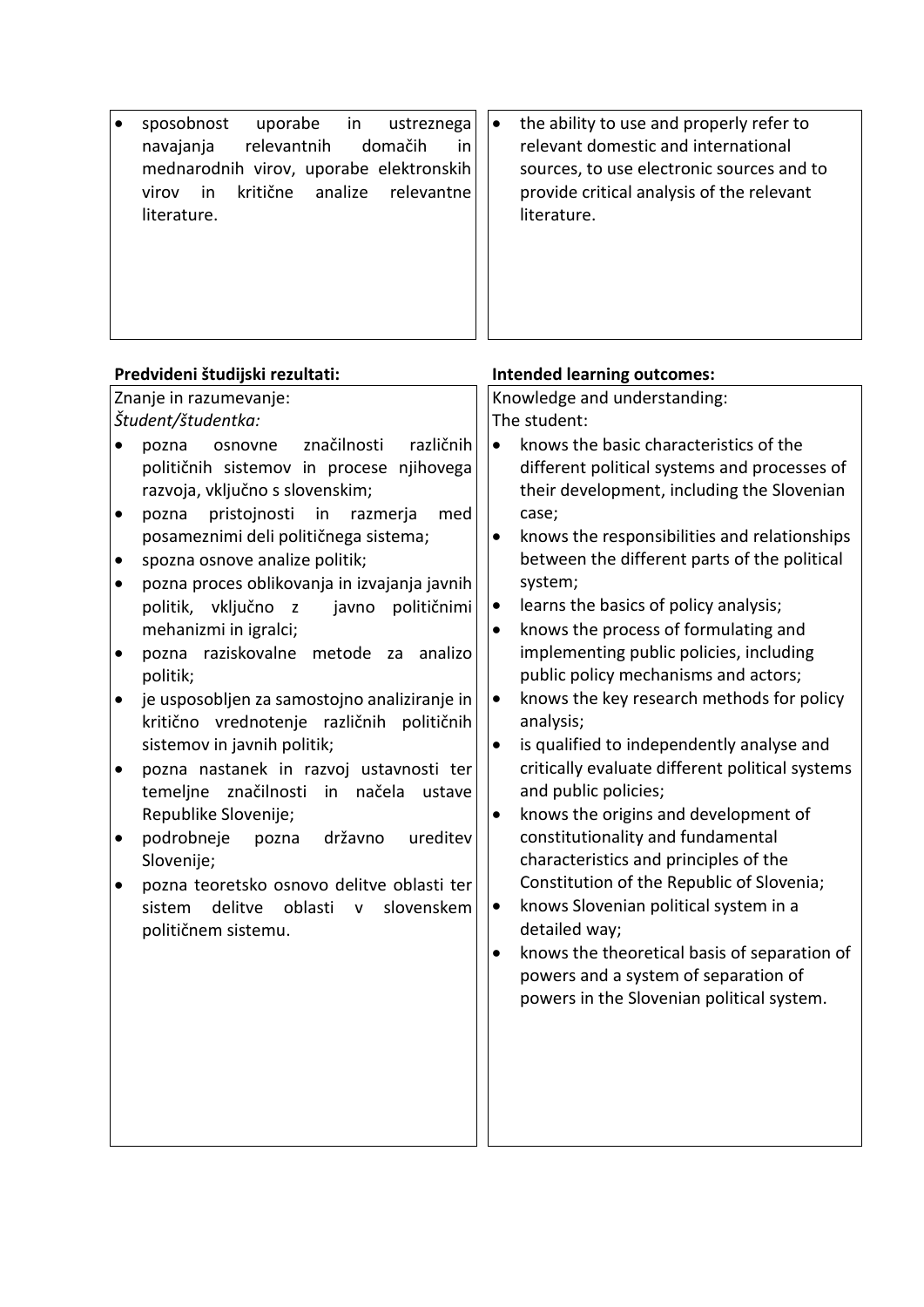| sposobnost<br>uporabe<br>in<br>ustreznega<br>relevantnih<br>domačih<br>navajanja<br>in<br>mednarodnih virov, uporabe elektronskih<br>kritične<br>virov<br>in<br>analize<br>relevantne<br>literature. | the ability to use and properly refer to<br>$\bullet$<br>relevant domestic and international<br>sources, to use electronic sources and to<br>provide critical analysis of the relevant<br>literature. |
|------------------------------------------------------------------------------------------------------------------------------------------------------------------------------------------------------|-------------------------------------------------------------------------------------------------------------------------------------------------------------------------------------------------------|
| Predvideni študijski rezultati:                                                                                                                                                                      | <b>Intended learning outcomes:</b>                                                                                                                                                                    |
| Znanje in razumevanje:                                                                                                                                                                               | Knowledge and understanding:                                                                                                                                                                          |
| Študent/študentka:                                                                                                                                                                                   | The student:                                                                                                                                                                                          |
| značilnosti<br>različnih<br>pozna<br>osnovne<br>$\bullet$                                                                                                                                            | knows the basic characteristics of the<br>$\bullet$                                                                                                                                                   |
| političnih sistemov in procese njihovega                                                                                                                                                             | different political systems and processes of                                                                                                                                                          |
| razvoja, vključno s slovenskim;                                                                                                                                                                      | their development, including the Slovenian                                                                                                                                                            |
| pristojnosti<br>in<br>pozna<br>razmerja<br>med                                                                                                                                                       | case;                                                                                                                                                                                                 |
| posameznimi deli političnega sistema;                                                                                                                                                                | knows the responsibilities and relationships<br>$\bullet$                                                                                                                                             |
| spozna osnove analize politik;<br>$\bullet$                                                                                                                                                          | between the different parts of the political                                                                                                                                                          |
| pozna proces oblikovanja in izvajanja javnih<br>$\bullet$                                                                                                                                            | system;                                                                                                                                                                                               |
| politik, vključno z<br>političnimi<br>javno                                                                                                                                                          | learns the basics of policy analysis;<br>$\bullet$                                                                                                                                                    |
| mehanizmi in igralci;                                                                                                                                                                                | knows the process of formulating and<br>$\bullet$                                                                                                                                                     |
| pozna raziskovalne metode za<br>analizo<br>$\bullet$                                                                                                                                                 | implementing public policies, including                                                                                                                                                               |
| politik;                                                                                                                                                                                             | public policy mechanisms and actors;                                                                                                                                                                  |
| je usposobljen za samostojno analiziranje in                                                                                                                                                         | knows the key research methods for policy<br>$\bullet$<br>analysis;                                                                                                                                   |
| kritično vrednotenje različnih političnih<br>sistemov in javnih politik;                                                                                                                             | is qualified to independently analyse and<br>$\bullet$                                                                                                                                                |
| pozna nastanek in razvoj ustavnosti ter<br>٠                                                                                                                                                         | critically evaluate different political systems                                                                                                                                                       |
| temeljne značilnosti in načela ustave                                                                                                                                                                | and public policies;                                                                                                                                                                                  |
| Republike Slovenije;                                                                                                                                                                                 | knows the origins and development of<br>$\bullet$                                                                                                                                                     |
| državno<br>podrobneje<br>ureditev<br>pozna                                                                                                                                                           | constitutionality and fundamental                                                                                                                                                                     |
| Slovenije;                                                                                                                                                                                           | characteristics and principles of the                                                                                                                                                                 |
| pozna teoretsko osnovo delitve oblasti ter<br>$\bullet$                                                                                                                                              | Constitution of the Republic of Slovenia;                                                                                                                                                             |
| delitve<br>sistem<br>oblasti<br>slovenskem<br>$\mathsf{V}$                                                                                                                                           | knows Slovenian political system in a<br>$\bullet$                                                                                                                                                    |
| političnem sistemu.                                                                                                                                                                                  | detailed way;                                                                                                                                                                                         |
|                                                                                                                                                                                                      | knows the theoretical basis of separation of<br>$\bullet$                                                                                                                                             |
|                                                                                                                                                                                                      | powers and a system of separation of                                                                                                                                                                  |
|                                                                                                                                                                                                      | powers in the Slovenian political system.                                                                                                                                                             |
|                                                                                                                                                                                                      |                                                                                                                                                                                                       |
|                                                                                                                                                                                                      |                                                                                                                                                                                                       |
|                                                                                                                                                                                                      |                                                                                                                                                                                                       |
|                                                                                                                                                                                                      |                                                                                                                                                                                                       |
|                                                                                                                                                                                                      |                                                                                                                                                                                                       |